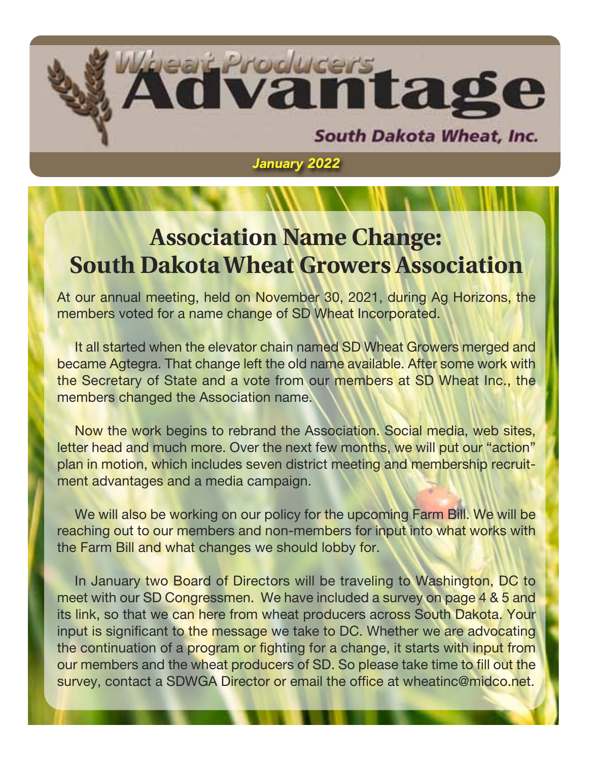

*January 2022*

### **Association Name Change: South Dakota Wheat Growers Association**

At our annual meeting, held on November 30, 2021, during Ag Horizons, the members voted for a name change of SD Wheat Incorporated.

It all started when the elevator chain named SD Wheat Growers merged and became Agtegra. That change left the old name available. After some work with the Secretary of State and a vote from our members at SD Wheat Inc., the members changed the Association name.

Now the work begins to rebrand the Association. Social media, web sites, letter head and much more. Over the next few months, we will put our "action" plan in motion, which includes seven district meeting and membership recruitment advantages and a media campaign.

We will also be working on our policy for the upcoming Farm Bill. We will be reaching out to our members and non-members for input into what works with the Farm Bill and what changes we should lobby for.

In January two Board of Directors will be traveling to Washington, DC to meet with our SD Congressmen. We have included a survey on page 4 & 5 and its link, so that we can here from wheat producers across South Dakota. Your input is significant to the message we take to DC. Whether we are advocating the continuation of a program or fighting for a change, it starts with input from our members and the wheat producers of SD. So please take time to fill out the survey, contact a SDWGA Director or email the office at wheatinc@midco.net.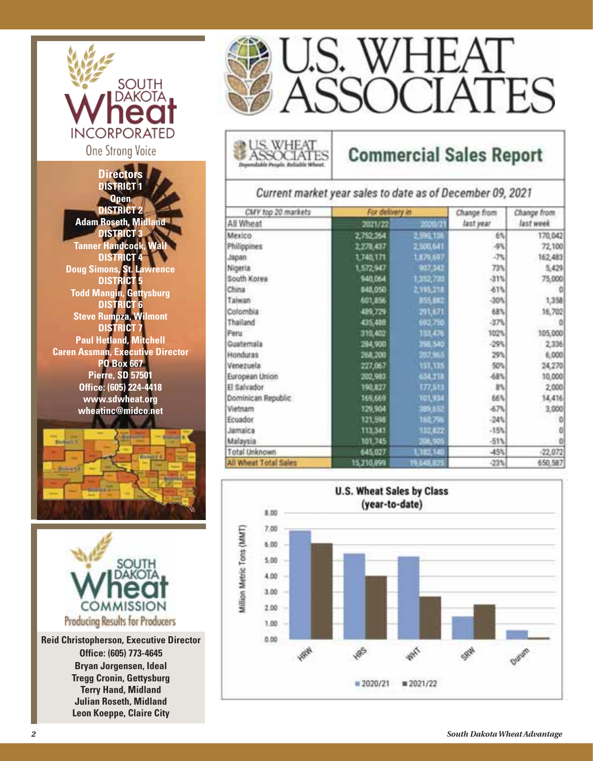

**Directors DISTRICT 1 Open DISTRICT 2 Adam Roseth, Midland DISTRICT 3 Tanner Handcock, Wall DISTRICT 4 Doug Simons, St. Lawrence DISTRICT 5 Todd Mangin, Gettysburg DISTRICT 6 Steve Rumpza, Wilmont DISTRICT 7 Paul Hetland, Mitchell Caren Assman, Executive Director PO Box 667 Pierre, SD 57501 Office: (605) 224-4418 www.sdwheat.org wheatinc@midco.net**





**Reid Christopherson, Executive Director Office: (605) 773-4645 Bryan Jorgensen, Ideal Tregg Cronin, Gettysburg Terry Hand, Midland Julian Roseth, Midland Leon Koeppe, Claire City**



### **Commercial Sales Report**

Current market year sales to date as of December 09, 2021

| CMY top 20 markets    | For delivery in |            | Change from | Change from |
|-----------------------|-----------------|------------|-------------|-------------|
| All Wheat             | 2021/22         | 2020/21    | last year   | last week   |
| Mexico                | 2,752,264       | 2,590,136  | 6%          | 170,042     |
| Philippines           | 2,278,437       | 2,500,641  | 4%          | 72,100      |
| nsqat.                | 1,740,171       | 1,879,697  | $-7\%$      | 162,483     |
| Nigeria               | 1,572,947       | 907,542    | 73%         | 5,429       |
| South Korea           | 940,064         | 1,352,733  | 31%         | 75,000      |
| China                 | 848,050         | 2,195,218  | 61%         |             |
| Taiwan                | 601,856         | 855,882    | $-30%$      | 1,358       |
| Colombia              | 489,729         | 291,671    | 68%         | 16,702      |
| Thailand              | 435,488         | 692.750    | 47%         |             |
| Peru                  | 310,402         | 153,476    | 102%        | 105,000     |
| Guatemala             | 284,900         | 396,540    | $-29%$      | 2,336       |
| Honduras              | 268,200         | 207,965    | 29%         | 6,000       |
| Venezuela             | 227,067         | 151,135    | 50%         | 24,270      |
| European Union        | 202,983         | 634,218    | 68%         | 10,000      |
| El Salvador           | 190,827         | 177,513    | B%          | 2,000       |
| Dominican Republic    | 169,669         | 101,934    | 66%         | 14,416      |
| Vietnam               | 129,904         | 389,652    | 67%         | 3,000       |
| Ecuador               | 121,598         | 150.756    | $-24%$      | o           |
| Jamaica               | 113,341         | 132,622    | $-15%$      | o           |
| Malaysia              | 101,745         | 206, 905   | $-513$      | o           |
| Total Unknown         | 645,027         | 102140     | 45%         | $-22,072$   |
| All Wheat Total Sales | 15,210,899      | 19.648.825 | $-23%$      | 650,587     |

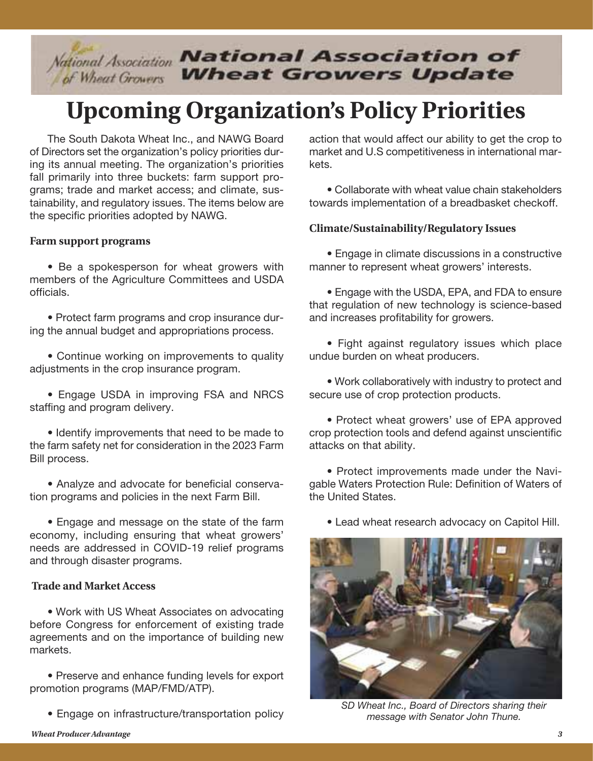# *Mational Association National Association of*

## **Upcoming Organization's Policy Priorities**

The South Dakota Wheat Inc., and NAWG Board of Directors set the organization's policy priorities during its annual meeting. The organization's priorities fall primarily into three buckets: farm support programs; trade and market access; and climate, sustainability, and regulatory issues. The items below are the specific priorities adopted by NAWG.

#### **Farm support programs**

• Be a spokesperson for wheat growers with members of the Agriculture Committees and USDA officials.

• Protect farm programs and crop insurance during the annual budget and appropriations process.

• Continue working on improvements to quality adjustments in the crop insurance program.

• Engage USDA in improving FSA and NRCS staffing and program delivery.

• Identify improvements that need to be made to the farm safety net for consideration in the 2023 Farm Bill process.

• Analyze and advocate for beneficial conservation programs and policies in the next Farm Bill.

• Engage and message on the state of the farm economy, including ensuring that wheat growers' needs are addressed in COVID-19 relief programs and through disaster programs.

#### **Trade and Market Access**

• Work with US Wheat Associates on advocating before Congress for enforcement of existing trade agreements and on the importance of building new markets.

• Preserve and enhance funding levels for export promotion programs (MAP/FMD/ATP).

• Engage on infrastructure/transportation policy

action that would affect our ability to get the crop to market and U.S competitiveness in international markets.

• Collaborate with wheat value chain stakeholders towards implementation of a breadbasket checkoff.

#### **Climate/Sustainability/Regulatory Issues**

• Engage in climate discussions in a constructive manner to represent wheat growers' interests.

• Engage with the USDA, EPA, and FDA to ensure that regulation of new technology is science-based and increases profitability for growers.

• Fight against regulatory issues which place undue burden on wheat producers.

• Work collaboratively with industry to protect and secure use of crop protection products.

• Protect wheat growers' use of EPA approved crop protection tools and defend against unscientific attacks on that ability.

• Protect improvements made under the Navigable Waters Protection Rule: Definition of Waters of the United States.

• Lead wheat research advocacy on Capitol Hill.



*SD Wheat Inc., Board of Directors sharing their message with Senator John Thune.*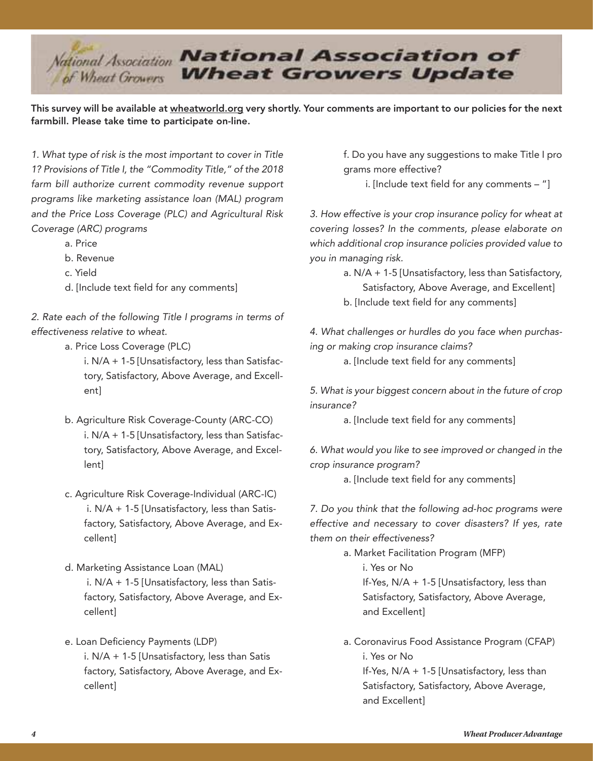

This survey will be available at wheatworld.org very shortly. Your comments are important to our policies for the next farmbill. Please take time to participate on-line.

*1. What type of risk is the most important to cover in Title 1? Provisions of Title I, the "Commodity Title," of the 2018 farm bill authorize current commodity revenue support programs like marketing assistance loan (MAL) program and the Price Loss Coverage (PLC) and Agricultural Risk Coverage (ARC) programs*

- a. Price
- b. Revenue
- c. Yield
- d. [Include text field for any comments]

*2. Rate each of the following Title I programs in terms of effectiveness relative to wheat.*

a. Price Loss Coverage (PLC)

 i. N/A + 1-5 [Unsatisfactory, less than Satisfac tory, Satisfactory, Above Average, and Excell ent]

- b. Agriculture Risk Coverage-County (ARC-CO) i. N/A + 1-5 [Unsatisfactory, less than Satisfac tory, Satisfactory, Above Average, and Excel lent]
- c. Agriculture Risk Coverage-Individual (ARC-IC) i. N/A + 1-5 [Unsatisfactory, less than Satis factory, Satisfactory, Above Average, and Ex cellent]
- d. Marketing Assistance Loan (MAL) i. N/A + 1-5 [Unsatisfactory, less than Satis factory, Satisfactory, Above Average, and Ex cellent]
- e. Loan Deficiency Payments (LDP) i. N/A + 1-5 [Unsatisfactory, less than Satis factory, Satisfactory, Above Average, and Ex cellent]

 f. Do you have any suggestions to make Title I pro grams more effective?

i. [Include text field for any comments – "]

*3. How effective is your crop insurance policy for wheat at covering losses? In the comments, please elaborate on which additional crop insurance policies provided value to you in managing risk.*

> a. N/A + 1-5 [Unsatisfactory, less than Satisfactory, Satisfactory, Above Average, and Excellent] b. [Include text field for any comments]

*4. What challenges or hurdles do you face when purchasing or making crop insurance claims?*

a. [Include text field for any comments]

*5. What is your biggest concern about in the future of crop insurance?*

a. [Include text field for any comments]

*6. What would you like to see improved or changed in the crop insurance program?*

a. [Include text field for any comments]

*7. Do you think that the following ad-hoc programs were effective and necessary to cover disasters? If yes, rate them on their effectiveness?*

> a. Market Facilitation Program (MFP) i. Yes or No

 If-Yes, N/A + 1-5 [Unsatisfactory, less than Satisfactory, Satisfactory, Above Average,

and Excellent]

 a. Coronavirus Food Assistance Program (CFAP) i. Yes or No If-Yes, N/A + 1-5 [Unsatisfactory, less than Satisfactory, Satisfactory, Above Average, and Excellent]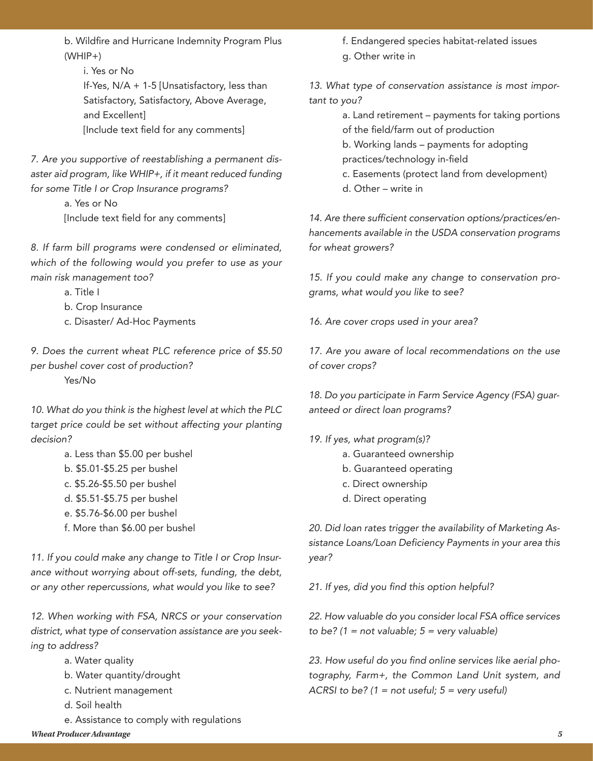b. Wildfire and Hurricane Indemnity Program Plus  $(WHIP+)$ 

 i. Yes or No If-Yes, N/A + 1-5 [Unsatisfactory, less than Satisfactory, Satisfactory, Above Average, and Excellent] [Include text field for any comments]

*7. Are you supportive of reestablishing a permanent disaster aid program, like WHIP+, if it meant reduced funding for some Title I or Crop Insurance programs?*

> a. Yes or No [Include text field for any comments]

*8. If farm bill programs were condensed or eliminated, which of the following would you prefer to use as your main risk management too?*

a. Title I

b. Crop Insurance

c. Disaster/ Ad-Hoc Payments

*9. Does the current wheat PLC reference price of \$5.50 per bushel cover cost of production?* Yes/No

*10. What do you think is the highest level at which the PLC target price could be set without affecting your planting decision?*

- a. Less than \$5.00 per bushel
- b. \$5.01-\$5.25 per bushel
- c. \$5.26-\$5.50 per bushel
- d. \$5.51-\$5.75 per bushel
- e. \$5.76-\$6.00 per bushel
- f. More than \$6.00 per bushel

*11. If you could make any change to Title I or Crop Insurance without worrying about off-sets, funding, the debt, or any other repercussions, what would you like to see?*

*12. When working with FSA, NRCS or your conservation district, what type of conservation assistance are you seeking to address?*

- a. Water quality
- b. Water quantity/drought
- c. Nutrient management
- d. Soil health

*Wheat Producer Advantage 5* e. Assistance to comply with regulations

 f. Endangered species habitat-related issues g. Other write in

*13. What type of conservation assistance is most important to you?*

> a. Land retirement – payments for taking portions of the field/farm out of production

 b. Working lands – payments for adopting practices/technology in-field

 c. Easements (protect land from development) d. Other – write in

*14. Are there sufficient conservation options/practices/enhancements available in the USDA conservation programs for wheat growers?*

*15. If you could make any change to conservation programs, what would you like to see?*

*16. Are cover crops used in your area?*

*17. Are you aware of local recommendations on the use of cover crops?*

*18. Do you participate in Farm Service Agency (FSA) guaranteed or direct loan programs?*

- *19. If yes, what program(s)?*
	- a. Guaranteed ownership
	- b. Guaranteed operating
	- c. Direct ownership
	- d. Direct operating

*20. Did loan rates trigger the availability of Marketing Assistance Loans/Loan Deficiency Payments in your area this year?*

*21. If yes, did you find this option helpful?*

*22. How valuable do you consider local FSA office services to be? (1 = not valuable; 5 = very valuable)*

*23. How useful do you find online services like aerial photography, Farm+, the Common Land Unit system, and ACRSI to be? (1 = not useful; 5 = very useful)*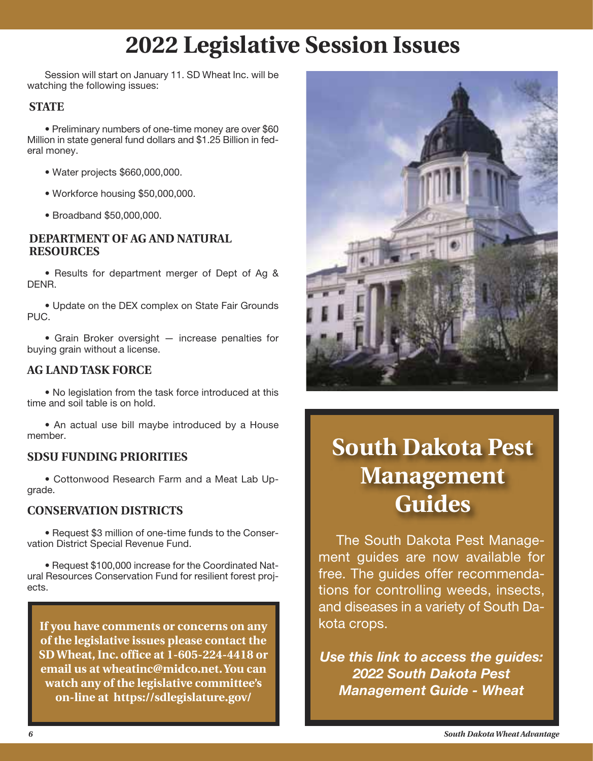### **2022 Legislative Session Issues**

Session will start on January 11. SD Wheat Inc. will be watching the following issues:

#### **STATE**

• Preliminary numbers of one-time money are over \$60 Million in state general fund dollars and \$1.25 Billion in federal money.

- Water projects \$660,000,000.
- Workforce housing \$50,000,000.
- Broadband \$50,000,000.

#### **DEPARTMENT OF AG AND NATURAL RESOURCES**

• Results for department merger of Dept of Ag & DENR.

• Update on the DEX complex on State Fair Grounds PUC.

• Grain Broker oversight — increase penalties for buying grain without a license.

#### **AG LAND TASK FORCE**

• No legislation from the task force introduced at this time and soil table is on hold.

• An actual use bill maybe introduced by a House member.

#### **SDSU FUNDING PRIORITIES**

• Cottonwood Research Farm and a Meat Lab Upgrade.

#### **CONSERVATION DISTRICTS**

• Request \$3 million of one-time funds to the Conservation District Special Revenue Fund.

• Request \$100,000 increase for the Coordinated Natural Resources Conservation Fund for resilient forest projects.

**If you have comments or concerns on any of the legislative issues please contact the SD Wheat, Inc. office at 1-605-224-4418 or email us at wheatinc@midco.net. You can watch any of the legislative committee's on-line at https://sdlegislature.gov/**



### **South Dakota Pest Management Guides**

The South Dakota Pest Management guides are now available for free. The guides offer recommendations for controlling weeds, insects, and diseases in a variety of South Dakota crops.

*Use this link to access the guides: 2022 South Dakota Pest Management Guide - Wheat*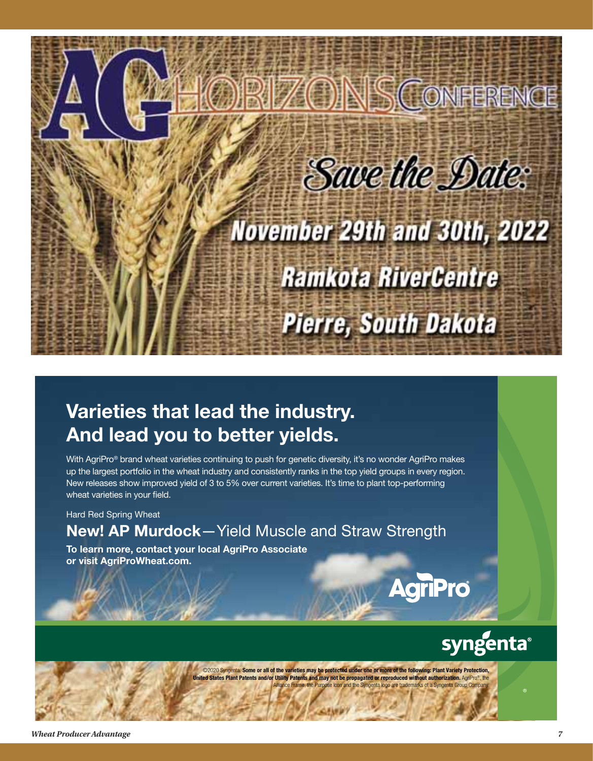

### Varieties that lead the industry. And lead you to better yields.

With AgriPro<sup>®</sup> brand wheat varieties continuing to push for genetic diversity, it's no wonder AgriPro makes up the largest portfolio in the wheat industry and consistently ranks in the top yield groups in every region. New releases show improved yield of 3 to 5% over current varieties. It's time to plant top-performing wheat varieties in your field.

Hard Red Spring Wheat

### New! AP Murdock—Yield Muscle and Straw Strength

To learn more, contact your local AgriPro Associate or visit AgriProWheat.com.

## **AgriPro**

syngenta®

©2020 Syngenta. Some or all of the varieties may be protected under one or more of the following: Plant Variety Protection **ted States Plant Patents and/or Utility Patents and may not be propagated or reproduced without authorization.** AgriPro®, th marks of a Syngenta Group Comp